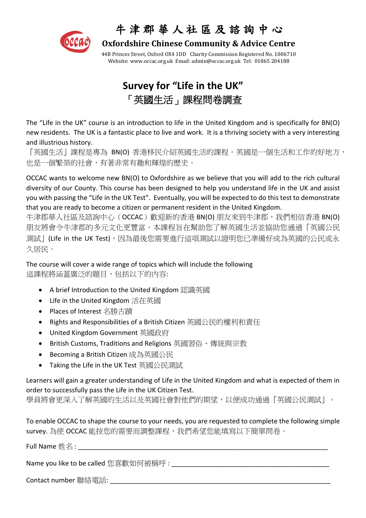

### 牛 津 郡 華 人 社 區 及 諮 詢 中 心

 **Oxfordshire Chinese Community & Advice Centre**

44B Princes Street, Oxford OX4 1DD Charity Commission Registered No. 1006710 Website[: www.occac.org.uk](http://www.occac.org.uk/) Email: [admin@occac.org.uk](mailto:occac@dsl.pipex.com) Tel: 01865 204188

## **Survey for "Life in the UK"** 「英國生活」課程問卷調查

The "Life in the UK" course is an introduction to life in the United Kingdom and is specifically for BN(O) new residents. The UK is a fantastic place to live and work. It is a thriving society with a very interesting and illustrious history.

「英國生活」課程是專為 BN(O) 香港移民介紹英國生活的課程。英國是一個生活和工作的好地方, 也是一個繁榮的社會,有著非常有趣和輝煌的歷史。

OCCAC wants to welcome new BN(O) to Oxfordshire as we believe that you will add to the rich cultural diversity of our County. This course has been designed to help you understand life in the UK and assist you with passing the "Life in the UK Test". Eventually, you will be expected to do this test to demonstrate that you are ready to become a citizen or permanent resident in the United Kingdom.

牛津郡華人社區及諮詢中心(OCCAC)歡迎新的香港 BN(O) 朋友來到牛津郡,我們相信香港 BN(O) 朋友將會令牛津郡的多元文化更豐富。本課程旨在幫助您了解英國生活並協助您通過「英國公民 測試」(Life in the UK Test),因為最後您需要進行這項測試以證明您已準備好成為英國的公民或永 久居民。

The course will cover a wide range of topics which will include the following 這課程將涵蓋廣泛的題目,包括以下的內容:

- A brief Introduction to the United Kingdom 認識英國
- Life in the United Kingdom 活在英國
- Places of Interest 名勝古蹟
- Rights and Responsibilities of a British Citizen 英國公民的權利和責任
- United Kingdom Government 英國政府
- British Customs, Traditions and Religions 英國習俗、傳統與宗教
- Becoming a British Citizen 成為英國公民
- Taking the Life in the UK Test 英國公民測試

Learners will gain a greater understanding of Life in the United Kingdom and what is expected of them in order to successfully pass the Life in the UK Citizen Test.

學員將會更深入了解英國的生活以及英國社會對他們的期望,以便成功通過「英國公民測試」。

To enable OCCAC to shape the course to your needs, you are requested to complete the following simple survey. 為使 OCCAC 能按您的需要而調整課程,我們希望您能填寫以下簡單問卷。

Full Name  $\#$ 名:

Name you like to be called 您喜歡如何被稱呼 :

Contact number 聯絡電話: